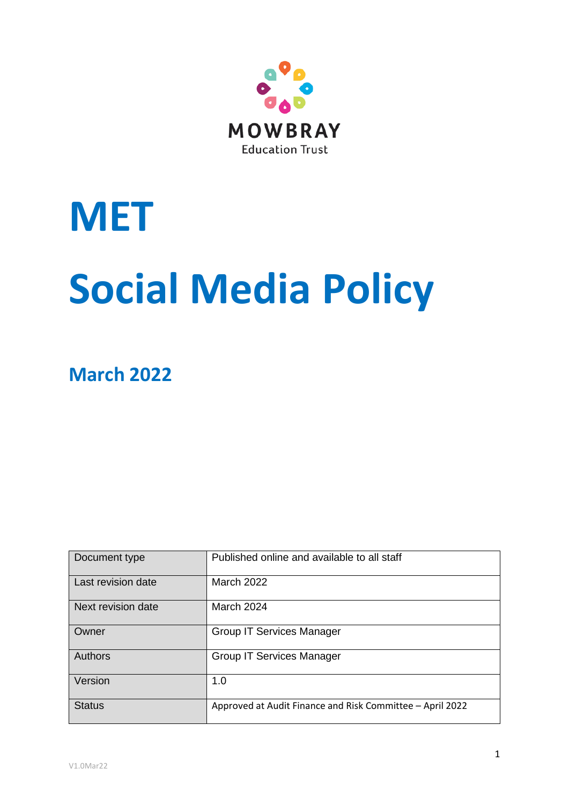

# **MET Social Media Policy**

**March 2022**

| Document type      | Published online and available to all staff               |  |
|--------------------|-----------------------------------------------------------|--|
| Last revision date | <b>March 2022</b>                                         |  |
| Next revision date | <b>March 2024</b>                                         |  |
| Owner              | <b>Group IT Services Manager</b>                          |  |
| Authors            | <b>Group IT Services Manager</b>                          |  |
| Version            | 1.0                                                       |  |
| <b>Status</b>      | Approved at Audit Finance and Risk Committee - April 2022 |  |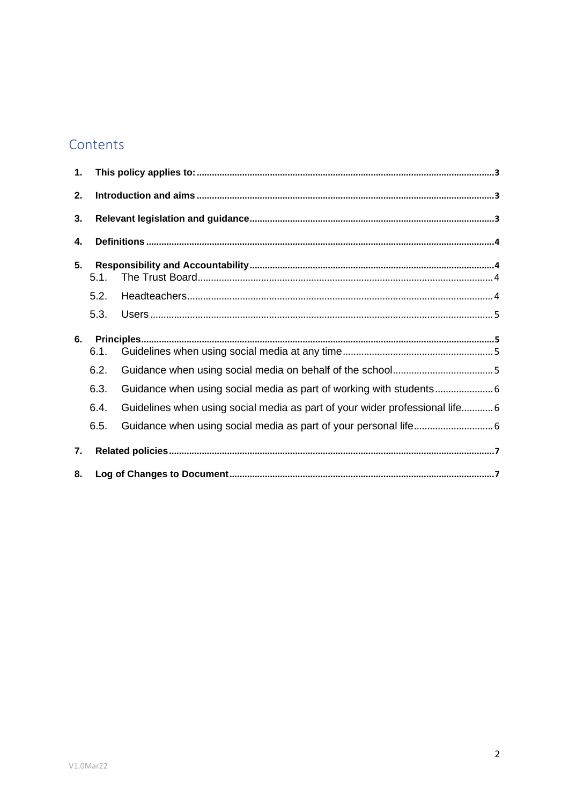# Contents

| 1. |              |                                                                              |  |  |  |
|----|--------------|------------------------------------------------------------------------------|--|--|--|
| 2. |              |                                                                              |  |  |  |
| 3. |              |                                                                              |  |  |  |
| 4. |              |                                                                              |  |  |  |
| 5. | 5.1.         |                                                                              |  |  |  |
|    | 5.2.         |                                                                              |  |  |  |
|    | 5.3.         |                                                                              |  |  |  |
| 6. | 6.1.         |                                                                              |  |  |  |
|    | 6.2.<br>6.3. | Guidance when using social media as part of working with students            |  |  |  |
|    | 6.4.         | Guidelines when using social media as part of your wider professional life 6 |  |  |  |
|    | 6.5.         |                                                                              |  |  |  |
| 7. |              |                                                                              |  |  |  |
| 8. |              |                                                                              |  |  |  |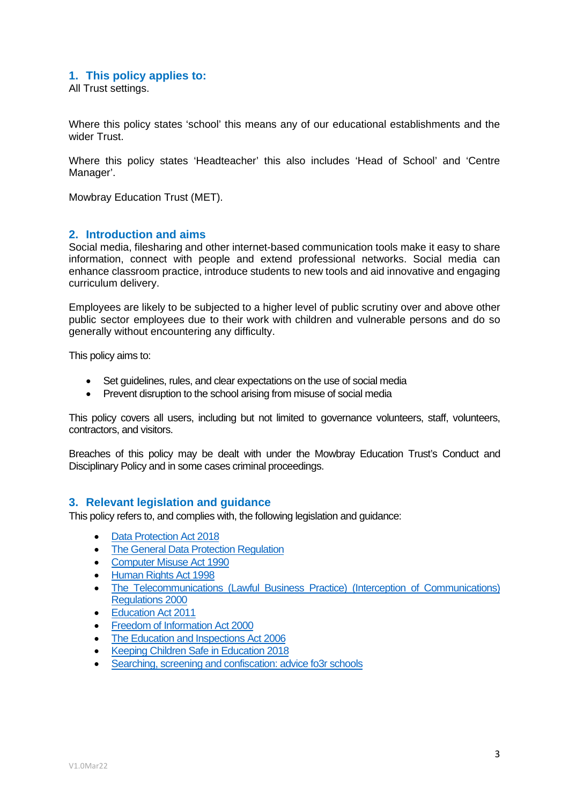#### <span id="page-2-0"></span>**1. This policy applies to:**

All Trust settings.

Where this policy states 'school' this means any of our educational establishments and the wider Trust.

Where this policy states 'Headteacher' this also includes 'Head of School' and 'Centre Manager'.

Mowbray Education Trust (MET).

#### <span id="page-2-1"></span>**2. Introduction and aims**

Social media, filesharing and other internet-based communication tools make it easy to share information, connect with people and extend professional networks. Social media can enhance classroom practice, introduce students to new tools and aid innovative and engaging curriculum delivery.

Employees are likely to be subjected to a higher level of public scrutiny over and above other public sector employees due to their work with children and vulnerable persons and do so generally without encountering any difficulty.

This policy aims to:

- Set guidelines, rules, and clear expectations on the use of social media
- Prevent disruption to the school arising from misuse of social media

This policy covers all users, including but not limited to governance volunteers, staff, volunteers, contractors, and visitors.

Breaches of this policy may be dealt with under the Mowbray Education Trust's Conduct and Disciplinary Policy and in some cases criminal proceedings.

#### <span id="page-2-2"></span>**3. Relevant legislation and guidance**

This policy refers to, and complies with, the following legislation and guidance:

- [Data Protection Act 2018](http://www.legislation.gov.uk/ukpga/2018/12/contents/enacted)
- [The General Data Protection Regulation](https://eur-lex.europa.eu/legal-content/EN/TXT/HTML/?uri=CELEX:32016R0679)
- [Computer Misuse Act 1990](https://www.legislation.gov.uk/ukpga/1990/18/contents)
- [Human Rights Act 1998](https://www.legislation.gov.uk/ukpga/1998/42/contents)
- [The Telecommunications \(Lawful Business Practice\) \(Interception of Communications\)](https://www.legislation.gov.uk/uksi/2000/2699/regulation/3/made)  [Regulations 2000](https://www.legislation.gov.uk/uksi/2000/2699/regulation/3/made)
- [Education Act 2011](http://www.legislation.gov.uk/ukpga/2011/21/section/2/enacted)
- [Freedom of Information Act 2000](https://www.legislation.gov.uk/ukpga/2000/36/contents)
- [The Education and Inspections Act 2006](https://www.legislation.gov.uk/ukpga/2006/40/part/7/chapter/1)
- [Keeping Children Safe in Education 2018](https://www.gov.uk/government/publications/keeping-children-safe-in-education--2)
- [Searching, screening and confiscation: advice fo3r schools](https://www.gov.uk/government/publications/searching-screening-and-confiscation)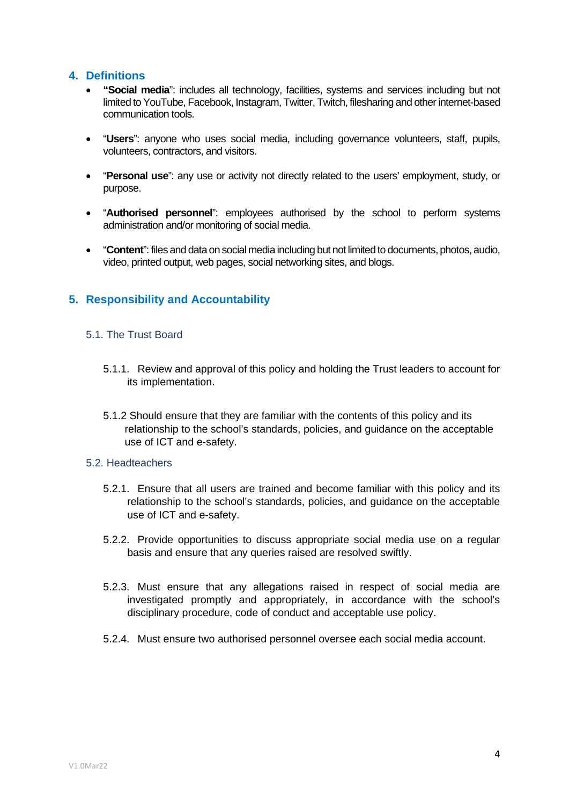## <span id="page-3-0"></span>**4. Definitions**

- **"Social media**": includes all technology, facilities, systems and services including but not limited toYouTube, Facebook, Instagram, Twitter, Twitch, filesharing and other internet-based communication tools.
- "**Users**": anyone who uses social media, including governance volunteers, staff, pupils, volunteers, contractors, and visitors.
- "**Personal use**": any use or activity not directly related to the users' employment, study, or purpose.
- "**Authorised personnel**": employees authorised by the school to perform systems administration and/or monitoring of social media.
- "**Content**": files and data on social media including but not limited to documents, photos, audio, video, printed output, web pages, social networking sites, and blogs.

# <span id="page-3-1"></span>**5. Responsibility and Accountability**

#### <span id="page-3-2"></span>5.1. The Trust Board

- 5.1.1. Review and approval of this policy and holding the Trust leaders to account for its implementation.
- 5.1.2 Should ensure that they are familiar with the contents of this policy and its relationship to the school's standards, policies, and guidance on the acceptable use of ICT and e-safety.

#### <span id="page-3-3"></span>5.2. Headteachers

- 5.2.1. Ensure that all users are trained and become familiar with this policy and its relationship to the school's standards, policies, and guidance on the acceptable use of ICT and e-safety.
- 5.2.2. Provide opportunities to discuss appropriate social media use on a regular basis and ensure that any queries raised are resolved swiftly.
- 5.2.3. Must ensure that any allegations raised in respect of social media are investigated promptly and appropriately, in accordance with the school's disciplinary procedure, code of conduct and acceptable use policy.
- 5.2.4. Must ensure two authorised personnel oversee each social media account.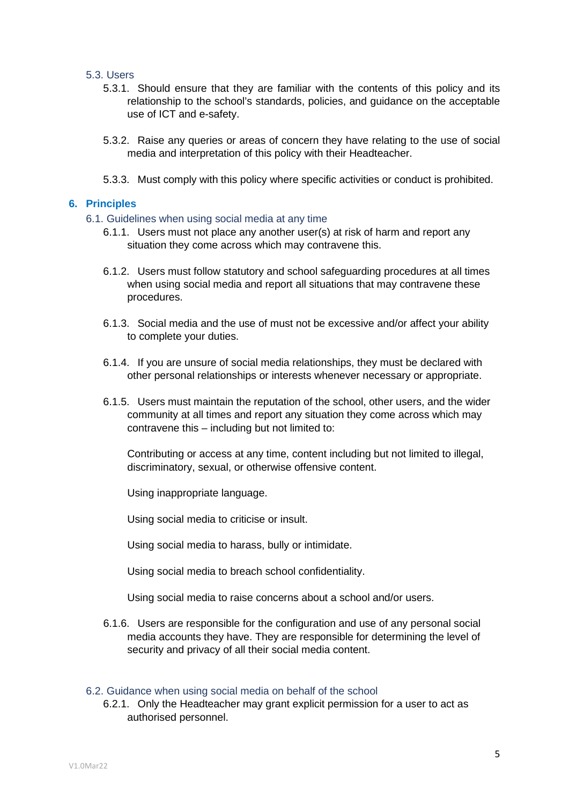#### <span id="page-4-0"></span>5.3. Users

- 5.3.1. Should ensure that they are familiar with the contents of this policy and its relationship to the school's standards, policies, and guidance on the acceptable use of ICT and e-safety.
- 5.3.2. Raise any queries or areas of concern they have relating to the use of social media and interpretation of this policy with their Headteacher.
- 5.3.3. Must comply with this policy where specific activities or conduct is prohibited.

#### <span id="page-4-2"></span><span id="page-4-1"></span>**6. Principles**

- 6.1. Guidelines when using social media at any time
	- 6.1.1. Users must not place any another user(s) at risk of harm and report any situation they come across which may contravene this.
	- 6.1.2. Users must follow statutory and school safeguarding procedures at all times when using social media and report all situations that may contravene these procedures.
	- 6.1.3. Social media and the use of must not be excessive and/or affect your ability to complete your duties.
	- 6.1.4. If you are unsure of social media relationships, they must be declared with other personal relationships or interests whenever necessary or appropriate.
	- 6.1.5. Users must maintain the reputation of the school, other users, and the wider community at all times and report any situation they come across which may contravene this – including but not limited to:

Contributing or access at any time, content including but not limited to illegal, discriminatory, sexual, or otherwise offensive content.

Using inappropriate language.

Using social media to criticise or insult.

Using social media to harass, bully or intimidate.

Using social media to breach school confidentiality.

Using social media to raise concerns about a school and/or users.

6.1.6. Users are responsible for the configuration and use of any personal social media accounts they have. They are responsible for determining the level of security and privacy of all their social media content.

#### <span id="page-4-3"></span>6.2. Guidance when using social media on behalf of the school

6.2.1. Only the Headteacher may grant explicit permission for a user to act as authorised personnel.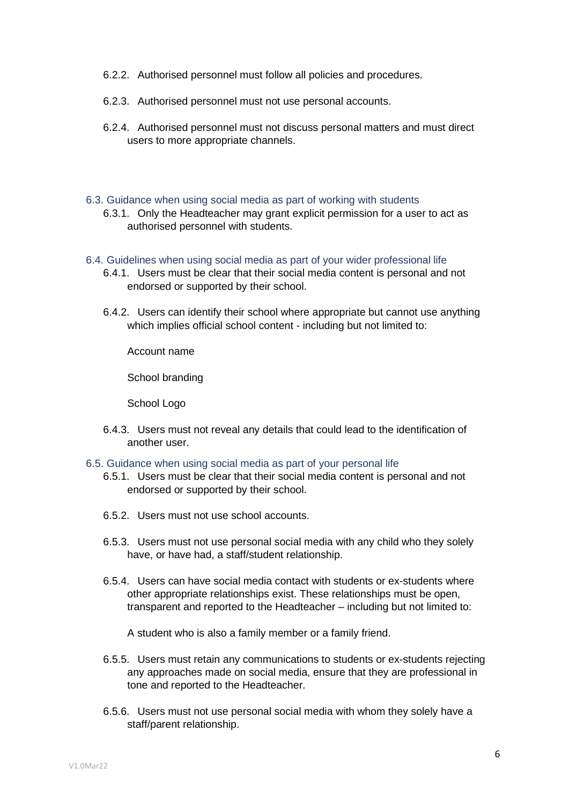- 6.2.2. Authorised personnel must follow all policies and procedures.
- 6.2.3. Authorised personnel must not use personal accounts.
- 6.2.4. Authorised personnel must not discuss personal matters and must direct users to more appropriate channels.
- <span id="page-5-0"></span>6.3. Guidance when using social media as part of working with students
	- 6.3.1. Only the Headteacher may grant explicit permission for a user to act as authorised personnel with students.
- <span id="page-5-1"></span>6.4. Guidelines when using social media as part of your wider professional life
	- 6.4.1. Users must be clear that their social media content is personal and not endorsed or supported by their school.
	- 6.4.2. Users can identify their school where appropriate but cannot use anything which implies official school content - including but not limited to:

Account name

School branding

School Logo

- 6.4.3. Users must not reveal any details that could lead to the identification of another user.
- <span id="page-5-2"></span>6.5. Guidance when using social media as part of your personal life
	- 6.5.1. Users must be clear that their social media content is personal and not endorsed or supported by their school.
	- 6.5.2. Users must not use school accounts.
	- 6.5.3. Users must not use personal social media with any child who they solely have, or have had, a staff/student relationship.
	- 6.5.4. Users can have social media contact with students or ex-students where other appropriate relationships exist. These relationships must be open, transparent and reported to the Headteacher – including but not limited to:

A student who is also a family member or a family friend.

- 6.5.5. Users must retain any communications to students or ex-students rejecting any approaches made on social media, ensure that they are professional in tone and reported to the Headteacher.
- 6.5.6. Users must not use personal social media with whom they solely have a staff/parent relationship.